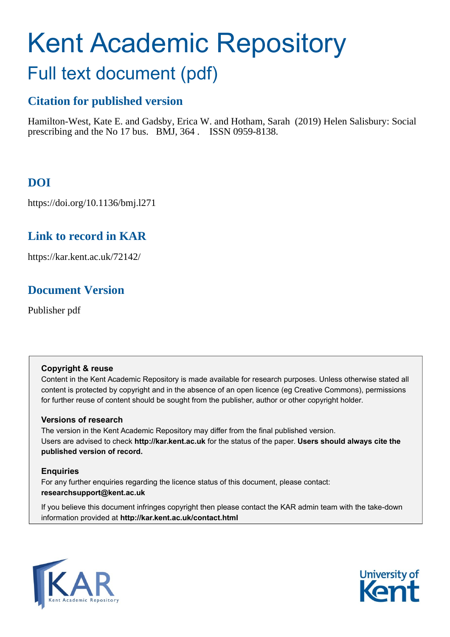# Kent Academic Repository

# Full text document (pdf)

## **Citation for published version**

Hamilton-West, Kate E. and Gadsby, Erica W. and Hotham, Sarah (2019) Helen Salisbury: Social prescribing and the No 17 bus. BMJ, 364 . ISSN 0959-8138.

# **DOI**

https://doi.org/10.1136/bmj.l271

## **Link to record in KAR**

https://kar.kent.ac.uk/72142/

## **Document Version**

Publisher pdf

#### **Copyright & reuse**

Content in the Kent Academic Repository is made available for research purposes. Unless otherwise stated all content is protected by copyright and in the absence of an open licence (eg Creative Commons), permissions for further reuse of content should be sought from the publisher, author or other copyright holder.

#### **Versions of research**

The version in the Kent Academic Repository may differ from the final published version. Users are advised to check **http://kar.kent.ac.uk** for the status of the paper. **Users should always cite the published version of record.**

#### **Enquiries**

For any further enquiries regarding the licence status of this document, please contact: **researchsupport@kent.ac.uk**

If you believe this document infringes copyright then please contact the KAR admin team with the take-down information provided at **http://kar.kent.ac.uk/contact.html**